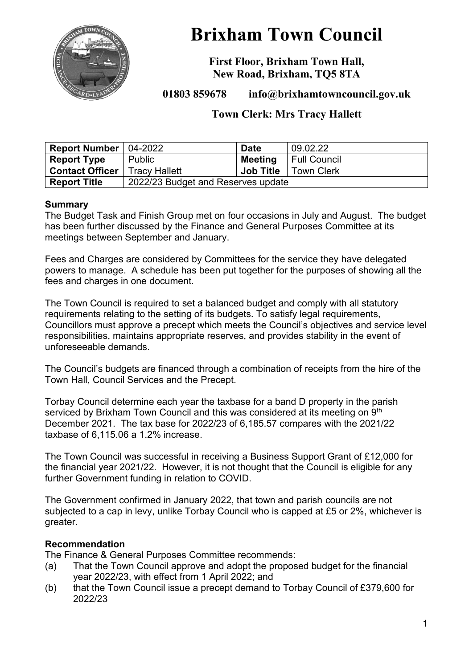

# **Brixham Town Council**

**First Floor, Brixham Town Hall, New Road, Brixham, TQ5 8TA**

**01803 859678 info@brixhamtowncouncil.gov.uk**

# **Town Clerk: Mrs Tracy Hallett**

| <b>Report Number</b> $ 04-2022 $ |                                    | <b>Date</b>      | 09.02.22            |  |  |
|----------------------------------|------------------------------------|------------------|---------------------|--|--|
| <b>Report Type</b>               | Public                             | Meeting          | <b>Full Council</b> |  |  |
| <b>Contact Officer</b>           | <b>Tracy Hallett</b>               | <b>Job Title</b> | <b>Town Clerk</b>   |  |  |
| <b>Report Title</b>              | 2022/23 Budget and Reserves update |                  |                     |  |  |

## **Summary**

The Budget Task and Finish Group met on four occasions in July and August. The budget has been further discussed by the Finance and General Purposes Committee at its meetings between September and January.

Fees and Charges are considered by Committees for the service they have delegated powers to manage. A schedule has been put together for the purposes of showing all the fees and charges in one document.

The Town Council is required to set a balanced budget and comply with all statutory requirements relating to the setting of its budgets. To satisfy legal requirements, Councillors must approve a precept which meets the Council's objectives and service level responsibilities, maintains appropriate reserves, and provides stability in the event of unforeseeable demands.

The Council's budgets are financed through a combination of receipts from the hire of the Town Hall, Council Services and the Precept.

Torbay Council determine each year the taxbase for a band D property in the parish serviced by Brixham Town Council and this was considered at its meeting on 9<sup>th</sup> December 2021. The tax base for 2022/23 of 6,185.57 compares with the 2021/22 taxbase of 6,115.06 a 1.2% increase.

The Town Council was successful in receiving a Business Support Grant of £12,000 for the financial year 2021/22. However, it is not thought that the Council is eligible for any further Government funding in relation to COVID.

The Government confirmed in January 2022, that town and parish councils are not subjected to a cap in levy, unlike Torbay Council who is capped at £5 or 2%, whichever is greater.

#### **Recommendation**

The Finance & General Purposes Committee recommends:

- (a) That the Town Council approve and adopt the proposed budget for the financial year 2022/23, with effect from 1 April 2022; and
- (b) that the Town Council issue a precept demand to Torbay Council of £379,600 for 2022/23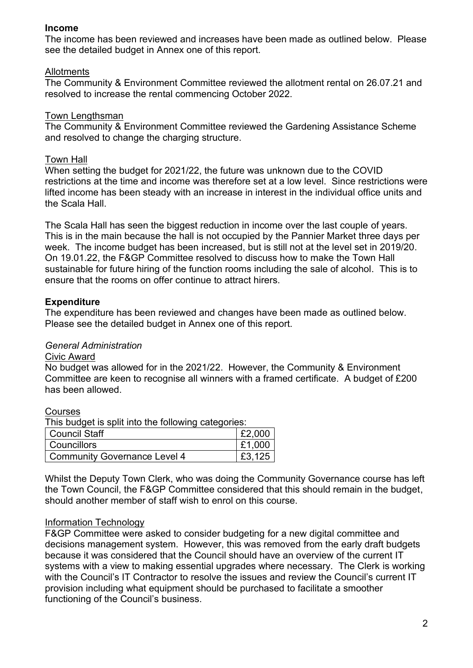## **Income**

The income has been reviewed and increases have been made as outlined below. Please see the detailed budget in Annex one of this report.

#### **Allotments**

The Community & Environment Committee reviewed the allotment rental on 26.07.21 and resolved to increase the rental commencing October 2022.

## Town Lengthsman

The Community & Environment Committee reviewed the Gardening Assistance Scheme and resolved to change the charging structure.

#### Town Hall

When setting the budget for 2021/22, the future was unknown due to the COVID restrictions at the time and income was therefore set at a low level. Since restrictions were lifted income has been steady with an increase in interest in the individual office units and the Scala Hall.

The Scala Hall has seen the biggest reduction in income over the last couple of years. This is in the main because the hall is not occupied by the Pannier Market three days per week. The income budget has been increased, but is still not at the level set in 2019/20. On 19.01.22, the F&GP Committee resolved to discuss how to make the Town Hall sustainable for future hiring of the function rooms including the sale of alcohol. This is to ensure that the rooms on offer continue to attract hirers.

## **Expenditure**

The expenditure has been reviewed and changes have been made as outlined below. Please see the detailed budget in Annex one of this report.

## *General Administration*

#### Civic Award

No budget was allowed for in the 2021/22. However, the Community & Environment Committee are keen to recognise all winners with a framed certificate. A budget of £200 has been allowed.

#### Courses

This budget is split into the following categories:

| Council Staff                | E2,000 |
|------------------------------|--------|
| Councillors                  | E1,000 |
| Community Governance Level 4 | £3,125 |

Whilst the Deputy Town Clerk, who was doing the Community Governance course has left the Town Council, the F&GP Committee considered that this should remain in the budget, should another member of staff wish to enrol on this course.

#### Information Technology

F&GP Committee were asked to consider budgeting for a new digital committee and decisions management system. However, this was removed from the early draft budgets because it was considered that the Council should have an overview of the current IT systems with a view to making essential upgrades where necessary. The Clerk is working with the Council's IT Contractor to resolve the issues and review the Council's current IT provision including what equipment should be purchased to facilitate a smoother functioning of the Council's business.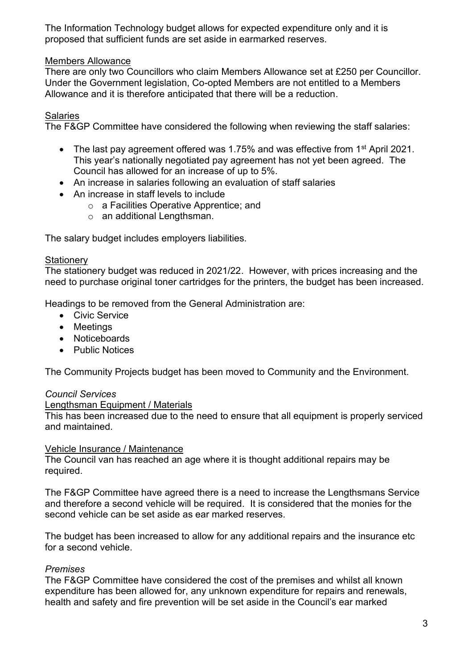The Information Technology budget allows for expected expenditure only and it is proposed that sufficient funds are set aside in earmarked reserves.

## Members Allowance

There are only two Councillors who claim Members Allowance set at £250 per Councillor. Under the Government legislation, Co-opted Members are not entitled to a Members Allowance and it is therefore anticipated that there will be a reduction.

## Salaries

The F&GP Committee have considered the following when reviewing the staff salaries:

- The last pay agreement offered was 1.75% and was effective from 1<sup>st</sup> April 2021. This year's nationally negotiated pay agreement has not yet been agreed. The Council has allowed for an increase of up to 5%.
- An increase in salaries following an evaluation of staff salaries
- An increase in staff levels to include
	- o a Facilities Operative Apprentice; and
	- o an additional Lengthsman.

The salary budget includes employers liabilities.

#### **Stationery**

The stationery budget was reduced in 2021/22. However, with prices increasing and the need to purchase original toner cartridges for the printers, the budget has been increased.

Headings to be removed from the General Administration are:

- Civic Service
- Meetings
- Noticeboards
- Public Notices

The Community Projects budget has been moved to Community and the Environment.

#### *Council Services*

#### Lengthsman Equipment / Materials

This has been increased due to the need to ensure that all equipment is properly serviced and maintained.

#### Vehicle Insurance / Maintenance

The Council van has reached an age where it is thought additional repairs may be required.

The F&GP Committee have agreed there is a need to increase the Lengthsmans Service and therefore a second vehicle will be required. It is considered that the monies for the second vehicle can be set aside as ear marked reserves.

The budget has been increased to allow for any additional repairs and the insurance etc for a second vehicle.

#### *Premises*

The F&GP Committee have considered the cost of the premises and whilst all known expenditure has been allowed for, any unknown expenditure for repairs and renewals, health and safety and fire prevention will be set aside in the Council's ear marked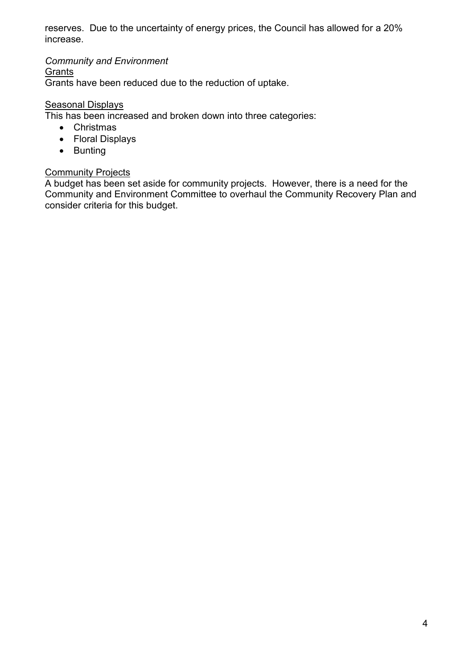reserves. Due to the uncertainty of energy prices, the Council has allowed for a 20% increase.

*Community and Environment*

**Grants** 

Grants have been reduced due to the reduction of uptake.

## **Seasonal Displays**

This has been increased and broken down into three categories:

- Christmas
- Floral Displays
- Bunting

## **Community Projects**

A budget has been set aside for community projects. However, there is a need for the Community and Environment Committee to overhaul the Community Recovery Plan and consider criteria for this budget.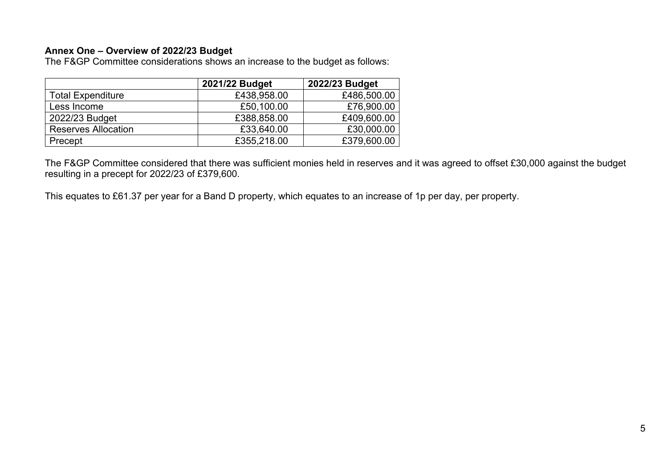## **Annex One – Overview of 2022/23 Budget**

The F&GP Committee considerations shows an increase to the budget as follows:

|                            | 2021/22 Budget | 2022/23 Budget |
|----------------------------|----------------|----------------|
| <b>Total Expenditure</b>   | £438,958.00    | £486,500.00    |
| Less Income                | £50,100.00     | £76,900.00     |
| 2022/23 Budget             | £388,858.00    | £409,600.00    |
| <b>Reserves Allocation</b> | £33,640.00     | £30,000.00     |
| Precept                    | £355,218.00    | £379,600.00    |

The F&GP Committee considered that there was sufficient monies held in reserves and it was agreed to offset £30,000 against the budget resulting in a precept for 2022/23 of £379,600.

This equates to £61.37 per year for a Band D property, which equates to an increase of 1p per day, per property.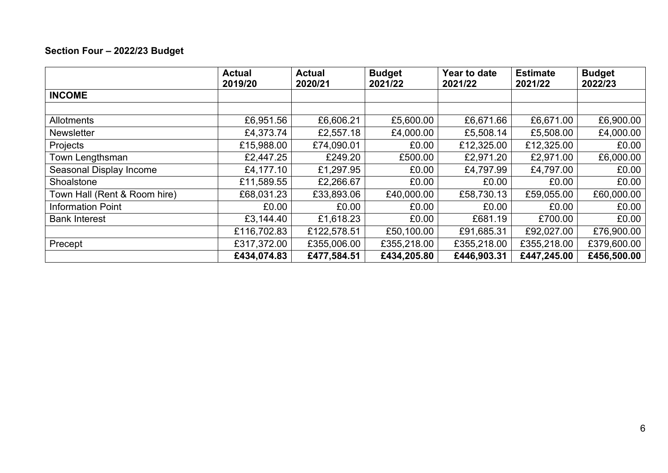# **Section Four – 2022/23 Budget**

|                              | <b>Actual</b><br>2019/20 | <b>Actual</b><br>2020/21 | <b>Budget</b><br>2021/22 | Year to date<br>2021/22 | <b>Estimate</b><br>2021/22 | <b>Budget</b><br>2022/23 |
|------------------------------|--------------------------|--------------------------|--------------------------|-------------------------|----------------------------|--------------------------|
| <b>INCOME</b>                |                          |                          |                          |                         |                            |                          |
|                              |                          |                          |                          |                         |                            |                          |
| Allotments                   | £6,951.56                | £6,606.21                | £5,600.00                | £6,671.66               | £6,671.00                  | £6,900.00                |
| <b>Newsletter</b>            | £4,373.74                | £2,557.18                | £4,000.00                | £5,508.14               | £5,508.00                  | £4,000.00                |
| Projects                     | £15,988.00               | £74,090.01               | £0.00                    | £12,325.00              | £12,325.00                 | £0.00                    |
| Town Lengthsman              | £2,447.25                | £249.20                  | £500.00                  | £2,971.20               | £2,971.00                  | £6,000.00                |
| Seasonal Display Income      | £4,177.10                | £1,297.95                | £0.00                    | £4,797.99               | £4,797.00                  | £0.00                    |
| Shoalstone                   | £11,589.55               | £2,266.67                | £0.00                    | £0.00                   | £0.00                      | £0.00                    |
| Town Hall (Rent & Room hire) | £68,031.23               | £33,893.06               | £40,000.00               | £58,730.13              | £59,055.00                 | £60,000.00               |
| <b>Information Point</b>     | £0.00                    | £0.00                    | £0.00                    | £0.00                   | £0.00                      | £0.00                    |
| <b>Bank Interest</b>         | £3,144.40                | £1,618.23                | £0.00                    | £681.19                 | £700.00                    | £0.00                    |
|                              | £116,702.83              | £122,578.51              | £50,100.00               | £91,685.31              | £92,027.00                 | £76,900.00               |
| Precept                      | £317,372.00              | £355,006.00              | £355,218.00              | £355,218.00             | £355,218.00                | £379,600.00              |
|                              | £434,074.83              | £477,584.51              | £434,205.80              | £446,903.31             | £447,245.00                | £456,500.00              |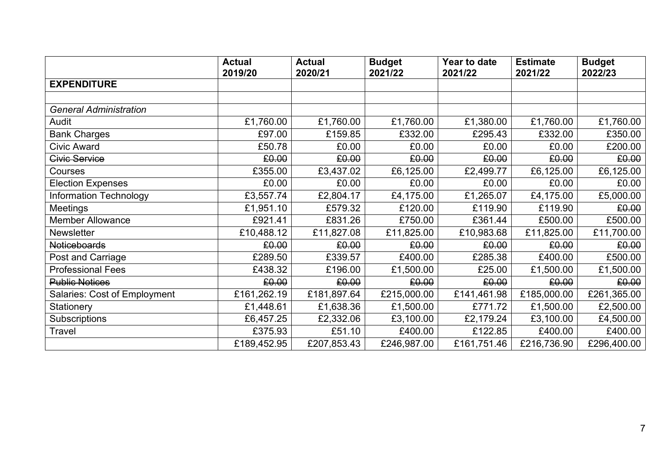|                                     | <b>Actual</b><br>2019/20 | <b>Actual</b><br>2020/21 | <b>Budget</b><br>2021/22 | Year to date<br>2021/22 | <b>Estimate</b><br>2021/22 | <b>Budget</b><br>2022/23 |
|-------------------------------------|--------------------------|--------------------------|--------------------------|-------------------------|----------------------------|--------------------------|
| <b>EXPENDITURE</b>                  |                          |                          |                          |                         |                            |                          |
|                                     |                          |                          |                          |                         |                            |                          |
| <b>General Administration</b>       |                          |                          |                          |                         |                            |                          |
| Audit                               | £1,760.00                | £1,760.00                | £1,760.00                | £1,380.00               | £1,760.00                  | £1,760.00                |
| <b>Bank Charges</b>                 | £97.00                   | £159.85                  | £332.00                  | £295.43                 | £332.00                    | £350.00                  |
| <b>Civic Award</b>                  | £50.78                   | £0.00                    | £0.00                    | £0.00                   | £0.00                      | £200.00                  |
| <b>Civic Service</b>                | £0.00                    | £0.00                    | £0.00                    | £0.00                   | £0.00                      | £0.00                    |
| Courses                             | £355.00                  | £3,437.02                | £6,125.00                | £2,499.77               | £6,125.00                  | £6,125.00                |
| <b>Election Expenses</b>            | £0.00                    | £0.00                    | £0.00                    | £0.00                   | £0.00                      | £0.00                    |
| <b>Information Technology</b>       | £3,557.74                | £2,804.17                | £4,175.00                | £1,265.07               | £4,175.00                  | £5,000.00                |
| <b>Meetings</b>                     | £1,951.10                | £579.32                  | £120.00                  | £119.90                 | £119.90                    | £0.00                    |
| <b>Member Allowance</b>             | £921.41                  | £831.26                  | £750.00                  | £361.44                 | £500.00                    | £500.00                  |
| <b>Newsletter</b>                   | £10,488.12               | £11,827.08               | £11,825.00               | £10,983.68              | £11,825.00                 | £11,700.00               |
| <b>Noticeboards</b>                 | £0.00                    | £0.00                    | £0.00                    | £0.00                   | £0.00                      | £0.00                    |
| Post and Carriage                   | £289.50                  | £339.57                  | £400.00                  | £285.38                 | £400.00                    | £500.00                  |
| <b>Professional Fees</b>            | £438.32                  | £196.00                  | £1,500.00                | £25.00                  | £1,500.00                  | £1,500.00                |
| <b>Public Notices</b>               | £0.00                    | £0.00                    | £0.00                    | £0.00                   | £0.00                      | £0.00                    |
| <b>Salaries: Cost of Employment</b> | £161,262.19              | £181,897.64              | £215,000.00              | £141,461.98             | £185,000.00                | £261,365.00              |
| Stationery                          | £1,448.61                | £1,638.36                | £1,500.00                | £771.72                 | £1,500.00                  | £2,500.00                |
| Subscriptions                       | £6,457.25                | £2,332.06                | £3,100.00                | £2,179.24               | £3,100.00                  | £4,500.00                |
| Travel                              | £375.93                  | £51.10                   | £400.00                  | £122.85                 | £400.00                    | £400.00                  |
|                                     | £189,452.95              | £207,853.43              | £246,987.00              | £161,751.46             | £216,736.90                | £296,400.00              |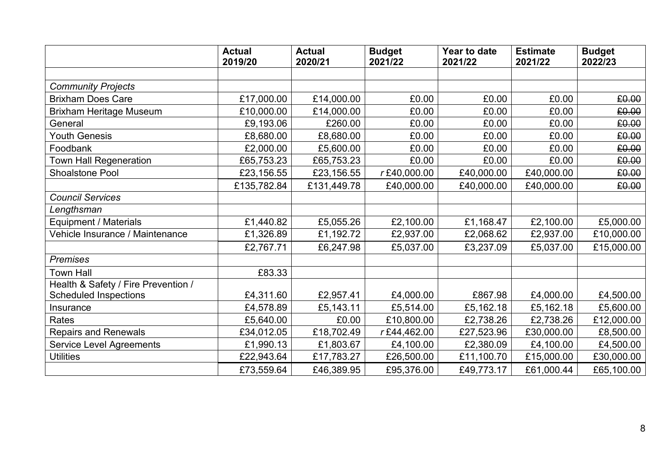|                                     | <b>Actual</b><br>2019/20 | <b>Actual</b><br>2020/21 | <b>Budget</b><br>2021/22 | Year to date<br>2021/22 | <b>Estimate</b><br>2021/22 | <b>Budget</b><br>2022/23 |
|-------------------------------------|--------------------------|--------------------------|--------------------------|-------------------------|----------------------------|--------------------------|
|                                     |                          |                          |                          |                         |                            |                          |
| <b>Community Projects</b>           |                          |                          |                          |                         |                            |                          |
| <b>Brixham Does Care</b>            | £17,000.00               | £14,000.00               | £0.00                    | £0.00                   | £0.00                      | £0.00                    |
| <b>Brixham Heritage Museum</b>      | £10,000.00               | £14,000.00               | £0.00                    | £0.00                   | £0.00                      | £0.00                    |
| General                             | £9,193.06                | £260.00                  | £0.00                    | £0.00                   | £0.00                      | £0.00                    |
| <b>Youth Genesis</b>                | £8,680.00                | £8,680.00                | £0.00                    | £0.00                   | £0.00                      | £0.00                    |
| Foodbank                            | £2,000.00                | £5,600.00                | £0.00                    | £0.00                   | £0.00                      | £0.00                    |
| <b>Town Hall Regeneration</b>       | £65,753.23               | £65,753.23               | £0.00                    | £0.00                   | £0.00                      | £0.00                    |
| Shoalstone Pool                     | £23,156.55               | £23,156.55               | r£40,000.00              | £40,000.00              | £40,000.00                 | £0.00                    |
|                                     | £135,782.84              | £131,449.78              | £40,000.00               | £40,000.00              | £40,000.00                 | £0.00                    |
| <b>Council Services</b>             |                          |                          |                          |                         |                            |                          |
| Lengthsman                          |                          |                          |                          |                         |                            |                          |
| Equipment / Materials               | £1,440.82                | £5,055.26                | £2,100.00                | £1,168.47               | £2,100.00                  | £5,000.00                |
| Vehicle Insurance / Maintenance     | £1,326.89                | £1,192.72                | £2,937.00                | £2,068.62               | £2,937.00                  | £10,000.00               |
|                                     | £2,767.71                | £6,247.98                | £5,037.00                | £3,237.09               | £5,037.00                  | £15,000.00               |
| <b>Premises</b>                     |                          |                          |                          |                         |                            |                          |
| <b>Town Hall</b>                    | £83.33                   |                          |                          |                         |                            |                          |
| Health & Safety / Fire Prevention / |                          |                          |                          |                         |                            |                          |
| <b>Scheduled Inspections</b>        | £4,311.60                | £2,957.41                | £4,000.00                | £867.98                 | £4,000.00                  | £4,500.00                |
| Insurance                           | £4,578.89                | £5,143.11                | £5,514.00                | £5,162.18               | £5,162.18                  | £5,600.00                |
| Rates                               | £5,640.00                | £0.00                    | £10,800.00               | £2,738.26               | £2,738.26                  | £12,000.00               |
| <b>Repairs and Renewals</b>         | £34,012.05               | £18,702.49               | r£44,462.00              | £27,523.96              | £30,000.00                 | £8,500.00                |
| <b>Service Level Agreements</b>     | £1,990.13                | £1,803.67                | £4,100.00                | £2,380.09               | £4,100.00                  | £4,500.00                |
| <b>Utilities</b>                    | £22,943.64               | £17,783.27               | £26,500.00               | £11,100.70              | £15,000.00                 | £30,000.00               |
|                                     | £73,559.64               | £46,389.95               | £95,376.00               | £49,773.17              | £61,000.44                 | £65,100.00               |